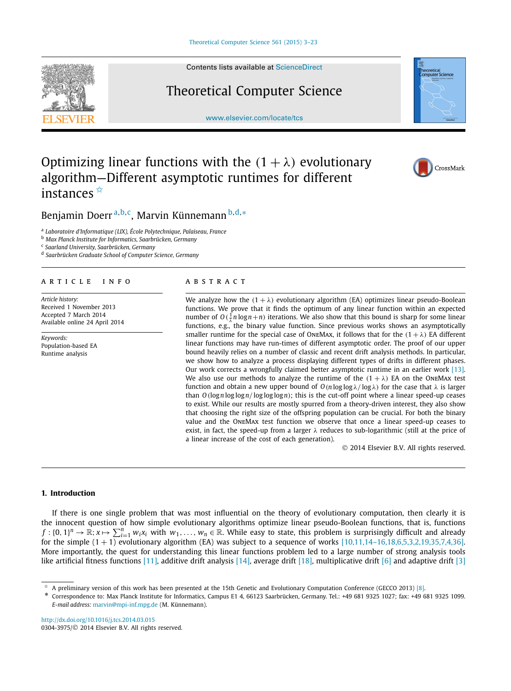

Contents lists available at [ScienceDirect](http://www.ScienceDirect.com/)

# Theoretical Computer Science

[www.elsevier.com/locate/tcs](http://www.elsevier.com/locate/tcs)



# Optimizing linear functions with the  $(1 + \lambda)$  evolutionary algorithm—Different asymptotic runtimes for different instances $\vec{r}$



Benjamin Doerr <sup>a</sup>*,*b*,*c, Marvin Künnemann <sup>b</sup>*,*d*,*<sup>∗</sup>

<sup>a</sup> *Laboratoire d'Informatique (LIX), École Polytechnique, Palaiseau, France*

<sup>b</sup> *Max Planck Institute for Informatics, Saarbrücken, Germany*

<sup>c</sup> *Saarland University, Saarbrücken, Germany*

<sup>d</sup> *Saarbrücken Graduate School of Computer Science, Germany*

#### article info abstract

*Article history:* Received 1 November 2013 Accepted 7 March 2014 Available online 24 April 2014

*Keywords:* Population-based EA Runtime analysis

We analyze how the  $(1 + \lambda)$  evolutionary algorithm (EA) optimizes linear pseudo-Boolean functions. We prove that it finds the optimum of any linear function within an expected number of  $O(\frac{1}{\lambda}n \log n + n)$  iterations. We also show that this bound is sharp for some linear functions, e.g., the binary value function. Since previous works shows an asymptotically smaller runtime for the special case of OneMax, it follows that for the  $(1 + \lambda)$  EA different linear functions may have run-times of different asymptotic order. The proof of our upper bound heavily relies on a number of classic and recent drift analysis methods. In particular, we show how to analyze a process displaying different types of drifts in different phases. Our work corrects a wrongfully claimed better asymptotic runtime in an earlier work [\[13\].](#page--1-0) We also use our methods to analyze the runtime of the  $(1 + \lambda)$  EA on the OneMax test function and obtain a new upper bound of *O(n* log log *λ/* log *λ)* for the case that *λ* is larger than *O(*log*n* log log*n/* log log log*n)*; this is the cut-off point where a linear speed-up ceases to exist. While our results are mostly spurred from a theory-driven interest, they also show that choosing the right size of the offspring population can be crucial. For both the binary value and the OneMax test function we observe that once a linear speed-up ceases to exist, in fact, the speed-up from a larger *λ* reduces to sub-logarithmic (still at the price of a linear increase of the cost of each generation).

© 2014 Elsevier B.V. All rights reserved.

### **1. Introduction**

If there is one single problem that was most influential on the theory of evolutionary computation, then clearly it is the innocent question of how simple evolutionary algorithms optimize linear pseudo-Boolean functions, that is, functions  $f:[0,1]^n\to\mathbb{R};$   $x\mapsto\sum_{i=1}^n w_ix_i$  with  $w_1,\ldots,w_n\in\mathbb{R}.$  While easy to state, this problem is surprisingly difficult and already for the simple  $(1 + 1)$  evolutionary algorithm  $(EA)$  was subject to a sequence of works  $[10,11,14-16,18,6,5,3,2,19,35,7,4,36]$ . More importantly, the quest for understanding this linear functions problem led to a large number of strong analysis tools like artificial fitness functions [\[11\],](#page--1-0) additive drift analysis [\[14\],](#page--1-0) average drift [\[18\],](#page--1-0) multiplicative drift [\[6\]](#page--1-0) and adaptive drift [\[3\]](#page--1-0)

<http://dx.doi.org/10.1016/j.tcs.2014.03.015> 0304-3975/© 2014 Elsevier B.V. All rights reserved.

A preliminary version of this work has been presented at the 15th Genetic and Evolutionary Computation Conference (GECCO 2013) [\[8\].](#page--1-0)

<sup>\*</sup> Correspondence to: Max Planck Institute for Informatics, Campus E1 4, 66123 Saarbrücken, Germany. Tel.: +49 681 9325 1027; fax: +49 681 9325 1099. *E-mail address:* [marvin@mpi-inf.mpg.de](mailto:marvin@mpi-inf.mpg.de) (M. Künnemann).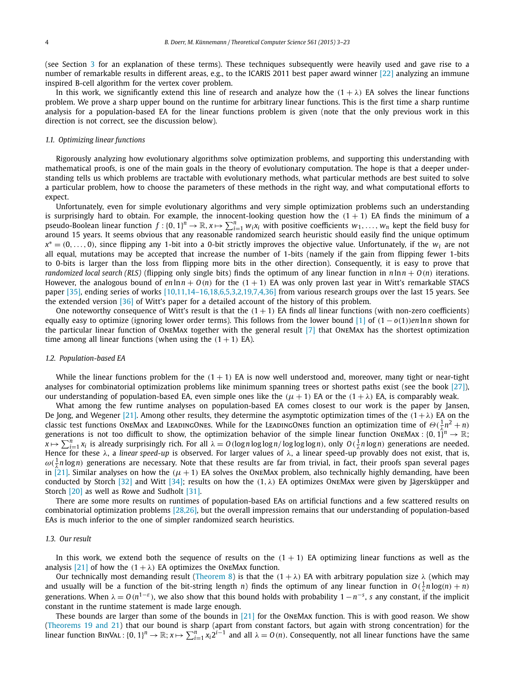(see Section [3](#page--1-0) for an explanation of these terms). These techniques subsequently were heavily used and gave rise to a number of remarkable results in different areas, e.g., to the ICARIS 2011 best paper award winner [\[22\]](#page--1-0) analyzing an immune inspired B-cell algorithm for the vertex cover problem.

In this work, we significantly extend this line of research and analyze how the  $(1 + \lambda)$  EA solves the linear functions problem. We prove a sharp upper bound on the runtime for arbitrary linear functions. This is the first time a sharp runtime analysis for a population-based EA for the linear functions problem is given (note that the only previous work in this direction is not correct, see the discussion below).

### *1.1. Optimizing linear functions*

Rigorously analyzing how evolutionary algorithms solve optimization problems, and supporting this understanding with mathematical proofs, is one of the main goals in the theory of evolutionary computation. The hope is that a deeper understanding tells us which problems are tractable with evolutionary methods, what particular methods are best suited to solve a particular problem, how to choose the parameters of these methods in the right way, and what computational efforts to expect.

Unfortunately, even for simple evolutionary algorithms and very simple optimization problems such an understanding is surprisingly hard to obtain. For example, the innocent-looking question how the  $(1 + 1)$  EA finds the minimum of a pseudo-Boolean linear function  $f: \{0,1\}^n \to \mathbb{R}, x \mapsto \sum_{i=1}^n w_i x_i$  with positive coefficients  $w_1, \ldots, w_n$  kept the field busy for around 15 years. It seems obvious that any reasonable randomized search heuristic should easily find the unique optimum *<sup>x</sup>*<sup>∗</sup> = *(*0*,...,* <sup>0</sup>*)*, since flipping any 1-bit into a 0-bit strictly improves the objective value. Unfortunately, if the *wi* are not all equal, mutations may be accepted that increase the number of 1-bits (namely if the gain from flipping fewer 1-bits to 0-bits is larger than the loss from flipping more bits in the other direction). Consequently, it is easy to prove that *randomized local search (RLS)* (flipping only single bits) finds the optimum of any linear function in  $n \ln n + O(n)$  iterations. However, the analogous bound of en lnn +  $O(n)$  for the  $(1 + 1)$  EA was only proven last year in Witt's remarkable STACS paper [\[35\],](#page--1-0) ending series of works [\[10,11,14–16,18,6,5,3,2,19,7,4,36\]](#page--1-0) from various research groups over the last 15 years. See the extended version [\[36\]](#page--1-0) of Witt's paper for a detailed account of the history of this problem.

One noteworthy consequence of Witt's result is that the  $(1 + 1)$  EA finds *all* linear functions (with non-zero coefficients) equally easy to optimize (ignoring lower order terms). This follows from the lower bound  $[1]$  of  $(1-o(1))$ *en* ln*n* shown for the particular linear function of OneMax together with the general result [\[7\]](#page--1-0) that OneMax has the shortest optimization time among all linear functions (when using the  $(1 + 1)$  EA).

#### *1.2. Population-based EA*

While the linear functions problem for the  $(1 + 1)$  EA is now well understood and, moreover, many tight or near-tight analyses for combinatorial optimization problems like minimum spanning trees or shortest paths exist (see the book [\[27\]\)](#page--1-0), our understanding of population-based EA, even simple ones like the  $(\mu + 1)$  EA or the  $(1 + \lambda)$  EA, is comparably weak.

What among the few runtime analyses on population-based EA comes closest to our work is the paper by Jansen, De Jong, and Wegener [\[21\].](#page--1-0) Among other results, they determine the asymptotic optimization times of the  $(1+\lambda)$  EA on the classic test functions OneMax and LeadingOnes. While for the LeadingOnes function an optimization time of  $\Theta(\frac{1}{\lambda}n^2 + n)$ generations is not too difficult to show, the optimization behavior of the simple linear function OneMax :  $\{0,1\}^n \to \mathbb{R}$ ;  $x \mapsto \sum_{i=1}^n x_i$  is already surprisingly rich. For all  $\lambda = O(\log n \log \log n / \log \log \log n)$ , only  $O(\frac{1}{\lambda} n \log n)$  generations are needed. Hence for these *λ*, a *linear speed-up* is observed. For larger values of *λ*, a linear speed-up provably does not exist, that is,  $\omega(\frac{1}{\lambda}n\log n)$  generations are necessary. Note that these results are far from trivial, in fact, their proofs span several pages in [\[21\].](#page--1-0) Similar analyses on how the  $(\mu + 1)$  EA solves the OneMax problem, also technically highly demanding, have been conducted by Storch [\[32\]](#page--1-0) and Witt [\[34\];](#page--1-0) results on how the *(*1*,λ)* EA optimizes OneMax were given by Jägersküpper and Storch [\[20\]](#page--1-0) as well as Rowe and Sudholt [\[31\].](#page--1-0)

There are some more results on runtimes of population-based EAs on artificial functions and a few scattered results on combinatorial optimization problems [\[28,26\],](#page--1-0) but the overall impression remains that our understanding of population-based EAs is much inferior to the one of simpler randomized search heuristics.

#### *1.3. Our result*

In this work, we extend both the sequence of results on the  $(1 + 1)$  EA optimizing linear functions as well as the analysis  $[21]$  of how the  $(1 + \lambda)$  EA optimizes the OneMax function.

Our technically most demanding result [\(Theorem 8\)](#page--1-0) is that the *(*1 + *λ)* EA with arbitrary population size *λ* (which may and usually will be a function of the bit-string length *n*) finds the optimum of any linear function in  $O(\frac{1}{\lambda}n\log(n) + n)$ generations. When  $\lambda = O(n^{1-\epsilon})$ , we also show that this bound holds with probability  $1-n^{-s}$ , *s* any constant, if the implicit constant in the runtime statement is made large enough.

These bounds are larger than some of the bounds in [\[21\]](#page--1-0) for the OneMax function. This is with good reason. We show [\(Theorems 19 and 21\)](#page--1-0) that our bound is sharp (apart from constant factors, but again with strong concentration) for the linear function BINVAL :  $\{0, 1\}^n \to \mathbb{R}$ ;  $x \mapsto \sum_{i=1}^n x_i 2^{i-1}$  and all  $\lambda = O(n)$ . Consequently, not all linear functions have the same